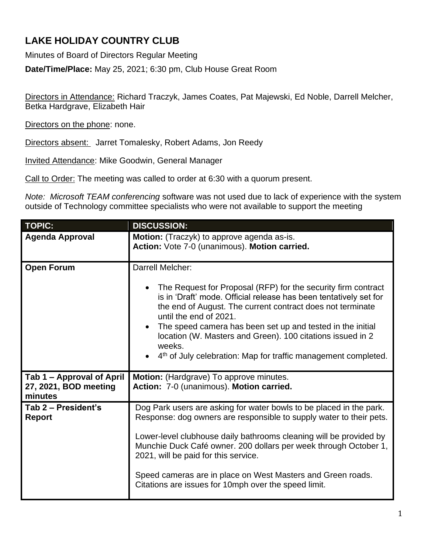## **LAKE HOLIDAY COUNTRY CLUB**

Minutes of Board of Directors Regular Meeting

**Date/Time/Place:** May 25, 2021; 6:30 pm, Club House Great Room

Directors in Attendance: Richard Traczyk, James Coates, Pat Majewski, Ed Noble, Darrell Melcher, Betka Hardgrave, Elizabeth Hair

Directors on the phone: none.

Directors absent: Jarret Tomalesky, Robert Adams, Jon Reedy

Invited Attendance: Mike Goodwin, General Manager

Call to Order: The meeting was called to order at 6:30 with a quorum present.

*Note: Microsoft TEAM conferencing* software was not used due to lack of experience with the system outside of Technology committee specialists who were not available to support the meeting

| <b>TOPIC:</b>                                                 | <b>DISCUSSION:</b>                                                                                                                                                                                                                                                                                                                                                                                                                                                   |
|---------------------------------------------------------------|----------------------------------------------------------------------------------------------------------------------------------------------------------------------------------------------------------------------------------------------------------------------------------------------------------------------------------------------------------------------------------------------------------------------------------------------------------------------|
| <b>Agenda Approval</b>                                        | Motion: (Traczyk) to approve agenda as-is.<br>Action: Vote 7-0 (unanimous). Motion carried.                                                                                                                                                                                                                                                                                                                                                                          |
| <b>Open Forum</b>                                             | Darrell Melcher:<br>The Request for Proposal (RFP) for the security firm contract<br>is in 'Draft' mode. Official release has been tentatively set for<br>the end of August. The current contract does not terminate<br>until the end of 2021.<br>• The speed camera has been set up and tested in the initial<br>location (W. Masters and Green). 100 citations issued in 2<br>weeks.<br>4 <sup>th</sup> of July celebration: Map for traffic management completed. |
| Tab 1 - Approval of April<br>27, 2021, BOD meeting<br>minutes | <b>Motion:</b> (Hardgrave) To approve minutes.<br>Action: 7-0 (unanimous). Motion carried.                                                                                                                                                                                                                                                                                                                                                                           |
| Tab 2 - President's<br><b>Report</b>                          | Dog Park users are asking for water bowls to be placed in the park.<br>Response: dog owners are responsible to supply water to their pets.<br>Lower-level clubhouse daily bathrooms cleaning will be provided by<br>Munchie Duck Café owner. 200 dollars per week through October 1,<br>2021, will be paid for this service.<br>Speed cameras are in place on West Masters and Green roads.<br>Citations are issues for 10mph over the speed limit.                  |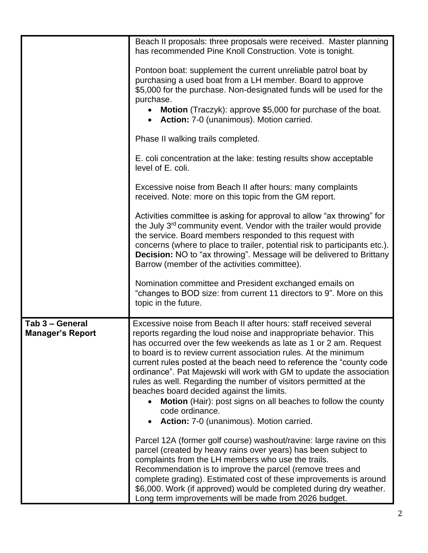|                                            | Beach II proposals: three proposals were received. Master planning<br>has recommended Pine Knoll Construction. Vote is tonight.                                                                                                                                                                                                                                                                                                                                                                                                                                                                                                                                                |
|--------------------------------------------|--------------------------------------------------------------------------------------------------------------------------------------------------------------------------------------------------------------------------------------------------------------------------------------------------------------------------------------------------------------------------------------------------------------------------------------------------------------------------------------------------------------------------------------------------------------------------------------------------------------------------------------------------------------------------------|
|                                            | Pontoon boat: supplement the current unreliable patrol boat by<br>purchasing a used boat from a LH member. Board to approve<br>\$5,000 for the purchase. Non-designated funds will be used for the<br>purchase.<br>Motion (Traczyk): approve \$5,000 for purchase of the boat.<br>• Action: 7-0 (unanimous). Motion carried.                                                                                                                                                                                                                                                                                                                                                   |
|                                            | Phase II walking trails completed.                                                                                                                                                                                                                                                                                                                                                                                                                                                                                                                                                                                                                                             |
|                                            | E. coli concentration at the lake: testing results show acceptable<br>level of E. coli.                                                                                                                                                                                                                                                                                                                                                                                                                                                                                                                                                                                        |
|                                            | Excessive noise from Beach II after hours: many complaints<br>received. Note: more on this topic from the GM report.                                                                                                                                                                                                                                                                                                                                                                                                                                                                                                                                                           |
|                                            | Activities committee is asking for approval to allow "ax throwing" for<br>the July 3 <sup>rd</sup> community event. Vendor with the trailer would provide<br>the service. Board members responded to this request with<br>concerns (where to place to trailer, potential risk to participants etc.).<br><b>Decision:</b> NO to "ax throwing". Message will be delivered to Brittany<br>Barrow (member of the activities committee).                                                                                                                                                                                                                                            |
|                                            | Nomination committee and President exchanged emails on<br>"changes to BOD size: from current 11 directors to 9". More on this<br>topic in the future.                                                                                                                                                                                                                                                                                                                                                                                                                                                                                                                          |
| Tab 3 - General<br><b>Manager's Report</b> | Excessive noise from Beach II after hours: staff received several<br>reports regarding the loud noise and inappropriate behavior. This<br>has occurred over the few weekends as late as 1 or 2 am. Request<br>to board is to review current association rules. At the minimum<br>current rules posted at the beach need to reference the "county code<br>ordinance". Pat Majewski will work with GM to update the association<br>rules as well. Regarding the number of visitors permitted at the<br>beaches board decided against the limits.<br>Motion (Hair): post signs on all beaches to follow the county<br>code ordinance.<br>Action: 7-0 (unanimous). Motion carried. |
|                                            | Parcel 12A (former golf course) washout/ravine: large ravine on this<br>parcel (created by heavy rains over years) has been subject to<br>complaints from the LH members who use the trails.<br>Recommendation is to improve the parcel (remove trees and<br>complete grading). Estimated cost of these improvements is around<br>\$6,000. Work (if approved) would be completed during dry weather.<br>Long term improvements will be made from 2026 budget.                                                                                                                                                                                                                  |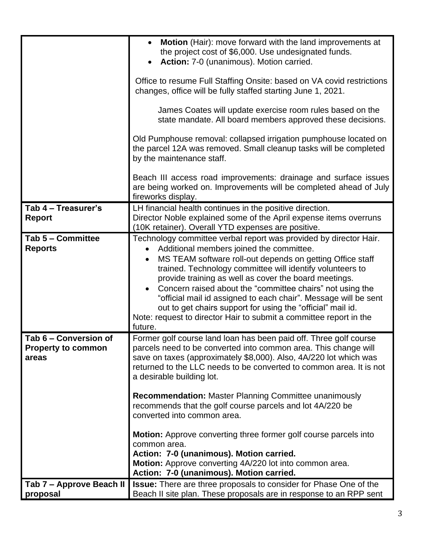|                                                             | <b>Motion</b> (Hair): move forward with the land improvements at<br>the project cost of \$6,000. Use undesignated funds.<br>Action: 7-0 (unanimous). Motion carried.                                                                                                                                                                                                                                                                                                                                                                                                                          |
|-------------------------------------------------------------|-----------------------------------------------------------------------------------------------------------------------------------------------------------------------------------------------------------------------------------------------------------------------------------------------------------------------------------------------------------------------------------------------------------------------------------------------------------------------------------------------------------------------------------------------------------------------------------------------|
|                                                             | Office to resume Full Staffing Onsite: based on VA covid restrictions<br>changes, office will be fully staffed starting June 1, 2021.                                                                                                                                                                                                                                                                                                                                                                                                                                                         |
|                                                             | James Coates will update exercise room rules based on the<br>state mandate. All board members approved these decisions.                                                                                                                                                                                                                                                                                                                                                                                                                                                                       |
|                                                             | Old Pumphouse removal: collapsed irrigation pumphouse located on<br>the parcel 12A was removed. Small cleanup tasks will be completed<br>by the maintenance staff.                                                                                                                                                                                                                                                                                                                                                                                                                            |
|                                                             | Beach III access road improvements: drainage and surface issues<br>are being worked on. Improvements will be completed ahead of July<br>fireworks display.                                                                                                                                                                                                                                                                                                                                                                                                                                    |
| Tab 4 - Treasurer's                                         | LH financial health continues in the positive direction.                                                                                                                                                                                                                                                                                                                                                                                                                                                                                                                                      |
| <b>Report</b>                                               | Director Noble explained some of the April expense items overruns<br>(10K retainer). Overall YTD expenses are positive.                                                                                                                                                                                                                                                                                                                                                                                                                                                                       |
| Tab 5 - Committee<br><b>Reports</b>                         | Technology committee verbal report was provided by director Hair.<br>Additional members joined the committee.<br>$\bullet$<br>MS TEAM software roll-out depends on getting Office staff<br>trained. Technology committee will identify volunteers to<br>provide training as well as cover the board meetings.<br>Concern raised about the "committee chairs" not using the<br>"official mail id assigned to each chair". Message will be sent<br>out to get chairs support for using the "official" mail id.<br>Note: request to director Hair to submit a committee report in the<br>future. |
| Tab 6 – Conversion of<br><b>Property to common</b><br>areas | Former golf course land loan has been paid off. Three golf course<br>parcels need to be converted into common area. This change will<br>save on taxes (approximately \$8,000). Also, 4A/220 lot which was<br>returned to the LLC needs to be converted to common area. It is not<br>a desirable building lot.                                                                                                                                                                                                                                                                                 |
|                                                             | <b>Recommendation: Master Planning Committee unanimously</b><br>recommends that the golf course parcels and lot 4A/220 be<br>converted into common area.                                                                                                                                                                                                                                                                                                                                                                                                                                      |
|                                                             | <b>Motion:</b> Approve converting three former golf course parcels into<br>common area.<br>Action: 7-0 (unanimous). Motion carried.                                                                                                                                                                                                                                                                                                                                                                                                                                                           |
|                                                             | Motion: Approve converting 4A/220 lot into common area.<br>Action: 7-0 (unanimous). Motion carried.                                                                                                                                                                                                                                                                                                                                                                                                                                                                                           |
| Tab 7 - Approve Beach II                                    | <b>Issue:</b> There are three proposals to consider for Phase One of the                                                                                                                                                                                                                                                                                                                                                                                                                                                                                                                      |
| proposal                                                    | Beach II site plan. These proposals are in response to an RPP sent                                                                                                                                                                                                                                                                                                                                                                                                                                                                                                                            |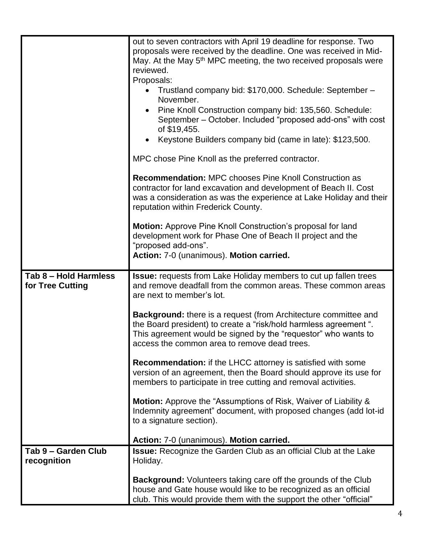|                                           | out to seven contractors with April 19 deadline for response. Two<br>proposals were received by the deadline. One was received in Mid-<br>May. At the May 5 <sup>th</sup> MPC meeting, the two received proposals were<br>reviewed.<br>Proposals:            |
|-------------------------------------------|--------------------------------------------------------------------------------------------------------------------------------------------------------------------------------------------------------------------------------------------------------------|
|                                           | • Trustland company bid: \$170,000. Schedule: September -<br>November.                                                                                                                                                                                       |
|                                           | Pine Knoll Construction company bid: 135,560. Schedule:<br>September – October. Included "proposed add-ons" with cost<br>of \$19,455.                                                                                                                        |
|                                           | Keystone Builders company bid (came in late): \$123,500.                                                                                                                                                                                                     |
|                                           | MPC chose Pine Knoll as the preferred contractor.                                                                                                                                                                                                            |
|                                           | <b>Recommendation: MPC chooses Pine Knoll Construction as</b><br>contractor for land excavation and development of Beach II. Cost<br>was a consideration as was the experience at Lake Holiday and their<br>reputation within Frederick County.              |
|                                           | Motion: Approve Pine Knoll Construction's proposal for land<br>development work for Phase One of Beach II project and the<br>"proposed add-ons".                                                                                                             |
|                                           | Action: 7-0 (unanimous). Motion carried.                                                                                                                                                                                                                     |
| Tab 8 - Hold Harmless<br>for Tree Cutting | <b>Issue:</b> requests from Lake Holiday members to cut up fallen trees<br>and remove deadfall from the common areas. These common areas<br>are next to member's lot.                                                                                        |
|                                           | <b>Background:</b> there is a request (from Architecture committee and<br>the Board president) to create a "risk/hold harmless agreement".<br>This agreement would be signed by the "requestor" who wants to<br>access the common area to remove dead trees. |
|                                           | <b>Recommendation:</b> if the LHCC attorney is satisfied with some<br>version of an agreement, then the Board should approve its use for<br>members to participate in tree cutting and removal activities.                                                   |
|                                           | <b>Motion:</b> Approve the "Assumptions of Risk, Waiver of Liability &<br>Indemnity agreement" document, with proposed changes (add lot-id<br>to a signature section).                                                                                       |
|                                           | Action: 7-0 (unanimous). Motion carried.                                                                                                                                                                                                                     |
| Tab 9 - Garden Club<br>recognition        | Issue: Recognize the Garden Club as an official Club at the Lake<br>Holiday.                                                                                                                                                                                 |
|                                           | <b>Background:</b> Volunteers taking care off the grounds of the Club<br>house and Gate house would like to be recognized as an official<br>club. This would provide them with the support the other "official"                                              |